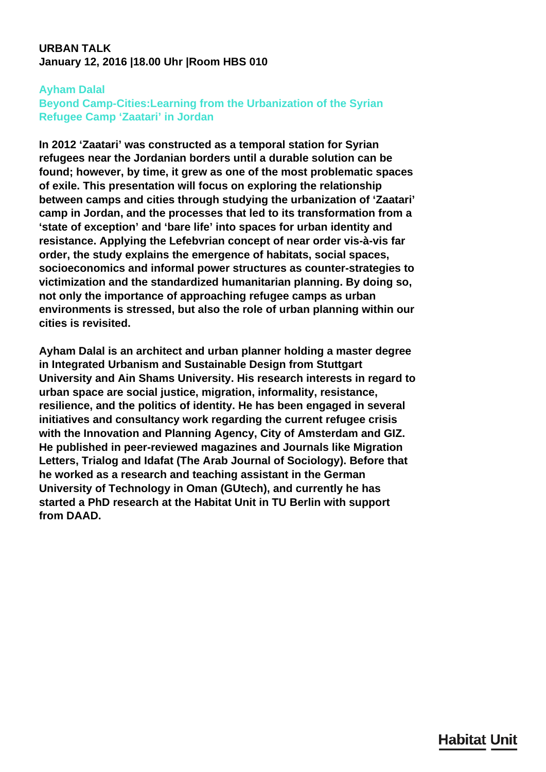## **URBAN TALK January 12, 2016 |18.00 Uhr |Room HBS 010**

## **Ayham Dalal**

## **Beyond Camp-Cities:Learning from the Urbanization of the Syrian Refugee Camp 'Zaatari' in Jordan**

**In 2012 'Zaatari' was constructed as a temporal station for Syrian refugees near the Jordanian borders until a durable solution can be found; however, by time, it grew as one of the most problematic spaces of exile. This presentation will focus on exploring the relationship between camps and cities through studying the urbanization of 'Zaatari' camp in Jordan, and the processes that led to its transformation from a 'state of exception' and 'bare life' into spaces for urban identity and resistance. Applying the Lefebvrian concept of near order vis-à-vis far order, the study explains the emergence of habitats, social spaces, socioeconomics and informal power structures as counter-strategies to victimization and the standardized humanitarian planning. By doing so, not only the importance of approaching refugee camps as urban environments is stressed, but also the role of urban planning within our cities is revisited.**

**Ayham Dalal is an architect and urban planner holding a master degree in Integrated Urbanism and Sustainable Design from Stuttgart University and Ain Shams University. His research interests in regard to urban space are social justice, migration, informality, resistance, resilience, and the politics of identity. He has been engaged in several initiatives and consultancy work regarding the current refugee crisis with the Innovation and Planning Agency, City of Amsterdam and GIZ. He published in peer-reviewed magazines and Journals like Migration Letters, Trialog and Idafat (The Arab Journal of Sociology). Before that he worked as a research and teaching assistant in the German University of Technology in Oman (GUtech), and currently he has started a PhD research at the Habitat Unit in TU Berlin with support from DAAD.**